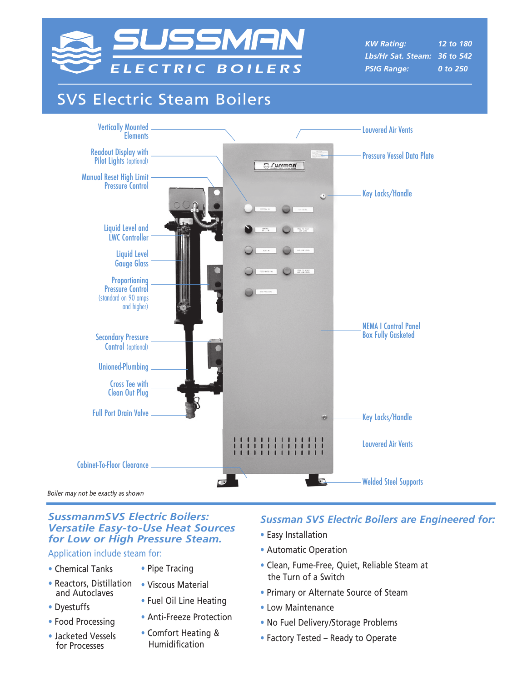

*KW Rating: 12 to 180 Lbs/Hr Sat. Steam: 36 to 542 PSIG Range: 0 to 250*

# SVS Electric Steam Boilers



*Boiler may not be exactly as shown*

#### *SussmanmSVS Electric Boilers: Versatile Easy-to-Use Heat Sources for Low or High Pressure Steam.*

Application include steam for:

- Chemical Tanks
- Reactors, Distillation and Autoclaves
- Dyestuffs
- Food Processing
- Jacketed Vessels for Processes
- Pipe Tracing
- Viscous Material
- Fuel Oil Line Heating
- Anti-Freeze Protection
- Comfort Heating & Humidification

## *Sussman SVS Electric Boilers are Engineered for:*

- Easy Installation
- Automatic Operation
- Clean, Fume-Free, Quiet, Reliable Steam at the Turn of a Switch
- Primary or Alternate Source of Steam
- Low Maintenance
- No Fuel Delivery/Storage Problems
- Factory Tested Ready to Operate